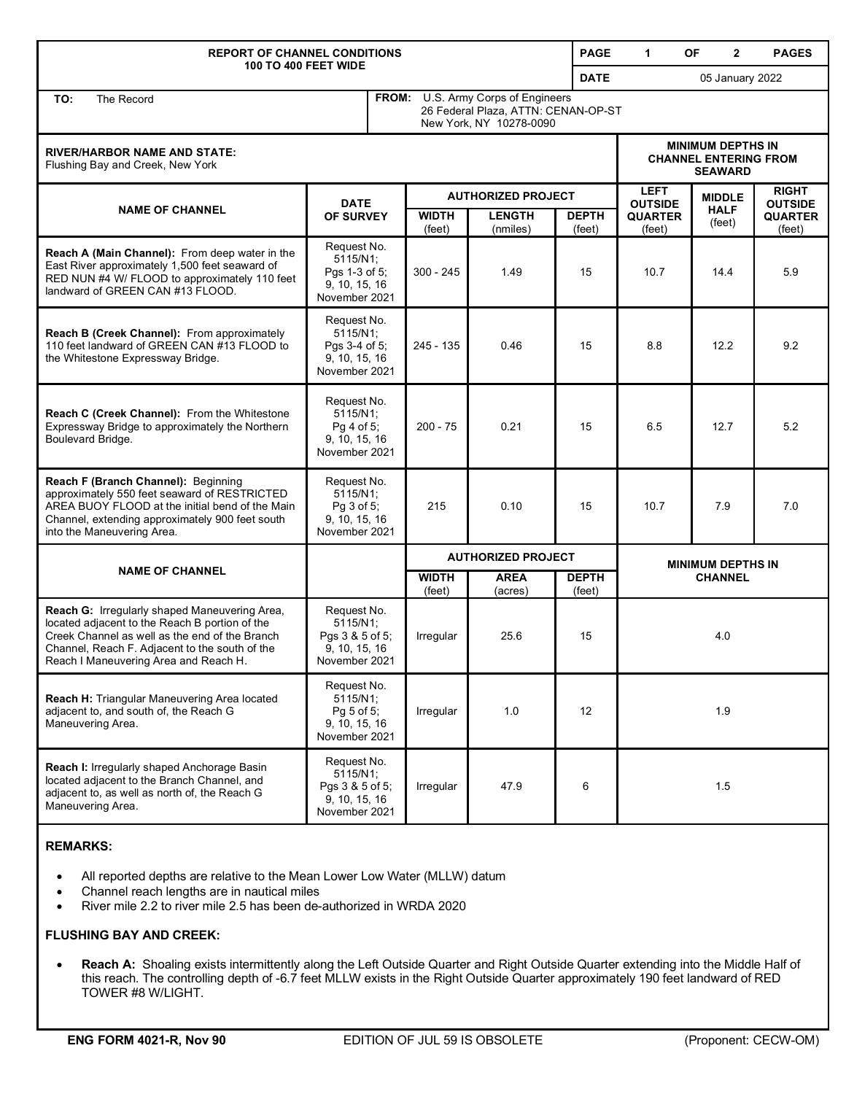| <b>REPORT OF CHANNEL CONDITIONS</b><br><b>100 TO 400 FEET WIDE</b>                                                                                                                                                                           |                                                                              |                                                                                                      |                           |                           | <b>PAGE</b>               | $\mathbf 1$                                                                | OF<br>$\mathbf{2}$    | <b>PAGES</b>                   |
|----------------------------------------------------------------------------------------------------------------------------------------------------------------------------------------------------------------------------------------------|------------------------------------------------------------------------------|------------------------------------------------------------------------------------------------------|---------------------------|---------------------------|---------------------------|----------------------------------------------------------------------------|-----------------------|--------------------------------|
|                                                                                                                                                                                                                                              |                                                                              |                                                                                                      |                           |                           | <b>DATE</b>               |                                                                            | 05 January 2022       |                                |
| TO:<br>The Record                                                                                                                                                                                                                            |                                                                              | FROM: U.S. Army Corps of Engineers<br>26 Federal Plaza, ATTN: CENAN-OP-ST<br>New York, NY 10278-0090 |                           |                           |                           |                                                                            |                       |                                |
| <b>RIVER/HARBOR NAME AND STATE:</b><br>Flushing Bay and Creek, New York                                                                                                                                                                      |                                                                              |                                                                                                      |                           |                           |                           | <b>MINIMUM DEPTHS IN</b><br><b>CHANNEL ENTERING FROM</b><br><b>SEAWARD</b> |                       |                                |
| <b>NAME OF CHANNEL</b>                                                                                                                                                                                                                       | <b>DATE</b>                                                                  |                                                                                                      |                           |                           | <b>AUTHORIZED PROJECT</b> |                                                                            | <b>MIDDLE</b>         | <b>RIGHT</b><br><b>OUTSIDE</b> |
|                                                                                                                                                                                                                                              | OF SURVEY                                                                    |                                                                                                      | <b>WIDTH</b><br>(feet)    | <b>LENGTH</b><br>(nmiles) | <b>DEPTH</b><br>(feet)    | <b>QUARTER</b><br>(feet)                                                   | <b>HALF</b><br>(feet) | <b>QUARTER</b><br>(feet)       |
| Reach A (Main Channel): From deep water in the<br>East River approximately 1,500 feet seaward of<br>RED NUN #4 W/ FLOOD to approximately 110 feet<br>landward of GREEN CAN #13 FLOOD.                                                        | Request No.<br>5115/N1;<br>Pgs 1-3 of 5;<br>9, 10, 15, 16<br>November 2021   |                                                                                                      | $300 - 245$               | 1.49                      | 15                        | 10.7                                                                       | 14.4                  | 5.9                            |
| <b>Reach B (Creek Channel):</b> From approximately<br>110 feet landward of GREEN CAN #13 FLOOD to<br>the Whitestone Expressway Bridge.                                                                                                       | Request No.<br>5115/N1;<br>Pgs 3-4 of 5;<br>9, 10, 15, 16<br>November 2021   |                                                                                                      | 245 - 135                 | 0.46                      | 15                        | 8.8                                                                        | 12.2                  | 9.2                            |
| Reach C (Creek Channel): From the Whitestone<br>Expressway Bridge to approximately the Northern<br>Boulevard Bridge.                                                                                                                         | Request No.<br>$5115/N1$ ;<br>Pg 4 of 5;<br>9, 10, 15, 16<br>November 2021   |                                                                                                      | $200 - 75$                | 0.21                      | 15                        | 6.5                                                                        | 12.7                  | 5.2                            |
| Reach F (Branch Channel): Beginning<br>approximately 550 feet seaward of RESTRICTED<br>AREA BUOY FLOOD at the initial bend of the Main<br>Channel, extending approximately 900 feet south<br>into the Maneuvering Area.                      | Request No.<br>5115/N1;<br>Pg 3 of 5;<br>9, 10, 15, 16<br>November 2021      |                                                                                                      | 215                       | 0.10                      | 15                        | 10.7                                                                       | 7.9                   | 7.0                            |
|                                                                                                                                                                                                                                              |                                                                              |                                                                                                      | <b>AUTHORIZED PROJECT</b> |                           |                           | <b>MINIMUM DEPTHS IN</b>                                                   |                       |                                |
| <b>NAME OF CHANNEL</b>                                                                                                                                                                                                                       |                                                                              |                                                                                                      | <b>WIDTH</b><br>(feet)    | <b>AREA</b><br>(acres)    | <b>DEPTH</b><br>(feet)    | <b>CHANNEL</b>                                                             |                       |                                |
| Reach G: Irregularly shaped Maneuvering Area,<br>located adjacent to the Reach B portion of the<br>Creek Channel as well as the end of the Branch<br>Channel, Reach F. Adjacent to the south of the<br>Reach I Maneuvering Area and Reach H. | Request No.<br>5115/N1;<br>Pgs 3 & 5 of 5;<br>9, 10, 15, 16<br>November 2021 |                                                                                                      | Irregular                 | 25.6                      | 15                        | 4.0                                                                        |                       |                                |
| Reach H: Triangular Maneuvering Area located<br>adjacent to, and south of, the Reach G<br>Maneuvering Area.                                                                                                                                  | Request No.<br>5115/N1;<br>Pg 5 of 5;<br>9, 10, 15, 16<br>November 2021      |                                                                                                      | Irregular                 | 1.0                       | 12                        | 1.9                                                                        |                       |                                |
| Reach I: Irregularly shaped Anchorage Basin<br>located adjacent to the Branch Channel, and<br>adjacent to, as well as north of, the Reach G<br>Maneuvering Area.                                                                             | Request No.<br>5115/N1;<br>Pgs 3 & 5 of 5;<br>9, 10, 15, 16<br>November 2021 |                                                                                                      | Irregular                 | 47.9                      | 6                         | 1.5                                                                        |                       |                                |

## **REMARKS:**

- All reported depths are relative to the Mean Lower Low Water (MLLW) datum
- Channel reach lengths are in nautical miles
- River mile 2.2 to river mile 2.5 has been de-authorized in WRDA 2020

## **FLUSHING BAY AND CREEK:**

• **Reach A:** Shoaling exists intermittently along the Left Outside Quarter and Right Outside Quarter extending into the Middle Half of this reach. The controlling depth of -6.7 feet MLLW exists in the Right Outside Quarter approximately 190 feet landward of RED TOWER #8 W/LIGHT.